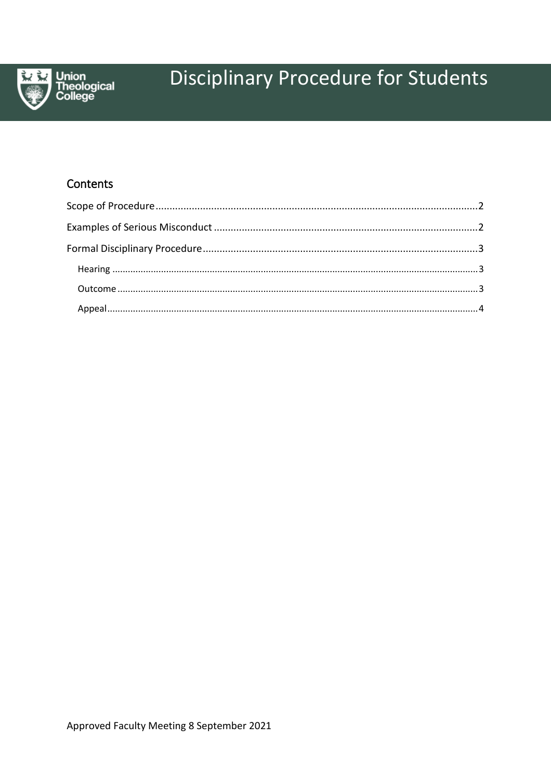

# **Disciplinary Procedure for Students**

## Contents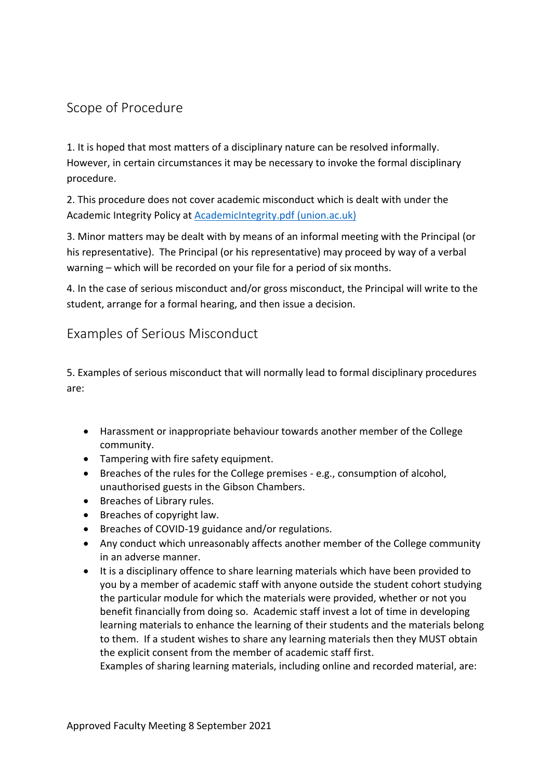### <span id="page-1-0"></span>Scope of Procedure

1. It is hoped that most matters of a disciplinary nature can be resolved informally. However, in certain circumstances it may be necessary to invoke the formal disciplinary procedure.

2. This procedure does not cover academic misconduct which is dealt with under the Academic Integrity Policy at [AcademicIntegrity.pdf \(union.ac.uk\)](https://www.union.ac.uk/cmsfiles/Support/AcademicIntegrity.pdf)

3. Minor matters may be dealt with by means of an informal meeting with the Principal (or his representative). The Principal (or his representative) may proceed by way of a verbal warning – which will be recorded on your file for a period of six months.

4. In the case of serious misconduct and/or gross misconduct, the Principal will write to the student, arrange for a formal hearing, and then issue a decision.

#### <span id="page-1-1"></span>Examples of Serious Misconduct

5. Examples of serious misconduct that will normally lead to formal disciplinary procedures are:

- Harassment or inappropriate behaviour towards another member of the College community.
- Tampering with fire safety equipment.
- Breaches of the rules for the College premises e.g., consumption of alcohol, unauthorised guests in the Gibson Chambers.
- Breaches of Library rules.
- Breaches of copyright law.
- Breaches of COVID-19 guidance and/or regulations.
- Any conduct which unreasonably affects another member of the College community in an adverse manner.
- It is a disciplinary offence to share learning materials which have been provided to you by a member of academic staff with anyone outside the student cohort studying the particular module for which the materials were provided, whether or not you benefit financially from doing so. Academic staff invest a lot of time in developing learning materials to enhance the learning of their students and the materials belong to them. If a student wishes to share any learning materials then they MUST obtain the explicit consent from the member of academic staff first.

Examples of sharing learning materials, including online and recorded material, are: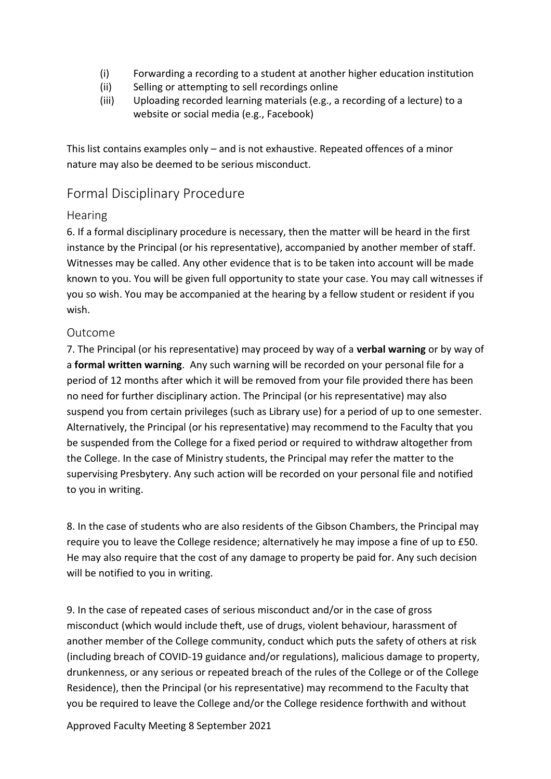- (i) Forwarding a recording to a student at another higher education institution
- (ii) Selling or attempting to sell recordings online
- (iii) Uploading recorded learning materials (e.g., a recording of a lecture) to a website or social media (e.g., Facebook)

This list contains examples only – and is not exhaustive. Repeated offences of a minor nature may also be deemed to be serious misconduct.

## <span id="page-2-0"></span>Formal Disciplinary Procedure

#### <span id="page-2-1"></span>**Hearing**

6. If a formal disciplinary procedure is necessary, then the matter will be heard in the first instance by the Principal (or his representative), accompanied by another member of staff. Witnesses may be called. Any other evidence that is to be taken into account will be made known to you. You will be given full opportunity to state your case. You may call witnesses if you so wish. You may be accompanied at the hearing by a fellow student or resident if you wish.

#### <span id="page-2-2"></span>Outcome

7. The Principal (or his representative) may proceed by way of a **verbal warning** or by way of a **formal written warning**. Any such warning will be recorded on your personal file for a period of 12 months after which it will be removed from your file provided there has been no need for further disciplinary action. The Principal (or his representative) may also suspend you from certain privileges (such as Library use) for a period of up to one semester. Alternatively, the Principal (or his representative) may recommend to the Faculty that you be suspended from the College for a fixed period or required to withdraw altogether from the College. In the case of Ministry students, the Principal may refer the matter to the supervising Presbytery. Any such action will be recorded on your personal file and notified to you in writing.

8. In the case of students who are also residents of the Gibson Chambers, the Principal may require you to leave the College residence; alternatively he may impose a fine of up to £50. He may also require that the cost of any damage to property be paid for. Any such decision will be notified to you in writing.

9. In the case of repeated cases of serious misconduct and/or in the case of gross misconduct (which would include theft, use of drugs, violent behaviour, harassment of another member of the College community, conduct which puts the safety of others at risk (including breach of COVID-19 guidance and/or regulations), malicious damage to property, drunkenness, or any serious or repeated breach of the rules of the College or of the College Residence), then the Principal (or his representative) may recommend to the Faculty that you be required to leave the College and/or the College residence forthwith and without

Approved Faculty Meeting 8 September 2021